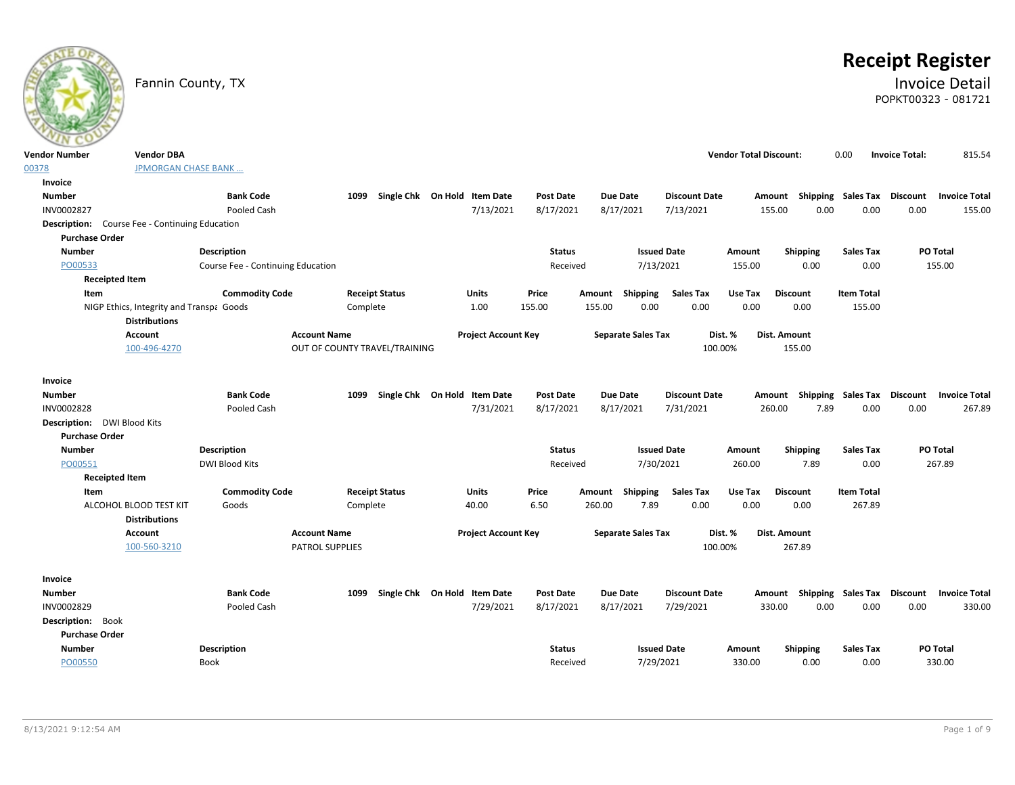# **Receipt Register**

## Fannin County, TX **Invoice Detail** POPKT00323 - 081721

| <b>Vendor Number</b>                                  | <b>Vendor DBA</b>                        |                                   |                               |                                           |                               |                              |                                   | <b>Vendor Total Discount:</b> | 0.00            |                   | <b>Invoice Total:</b>                                    | 815.54 |
|-------------------------------------------------------|------------------------------------------|-----------------------------------|-------------------------------|-------------------------------------------|-------------------------------|------------------------------|-----------------------------------|-------------------------------|-----------------|-------------------|----------------------------------------------------------|--------|
| 00378                                                 | <b>JPMORGAN CHASE BANK </b>              |                                   |                               |                                           |                               |                              |                                   |                               |                 |                   |                                                          |        |
| Invoice                                               |                                          |                                   |                               |                                           |                               |                              |                                   |                               |                 |                   |                                                          |        |
| <b>Number</b>                                         |                                          | <b>Bank Code</b>                  | 1099                          | Single Chk On Hold Item Date              | <b>Post Date</b>              | <b>Due Date</b>              | <b>Discount Date</b>              |                               |                 |                   | Amount Shipping Sales Tax Discount Invoice Total         |        |
| INV0002827                                            |                                          | Pooled Cash                       |                               | 7/13/2021                                 | 8/17/2021                     | 8/17/2021                    | 7/13/2021                         | 155.00                        | 0.00            | 0.00              | 0.00                                                     | 155.00 |
| <b>Description:</b> Course Fee - Continuing Education |                                          |                                   |                               |                                           |                               |                              |                                   |                               |                 |                   |                                                          |        |
| <b>Purchase Order</b>                                 |                                          |                                   |                               |                                           |                               |                              |                                   |                               |                 |                   |                                                          |        |
| <b>Number</b>                                         |                                          | <b>Description</b>                |                               |                                           | <b>Status</b>                 |                              | <b>Issued Date</b>                | Amount                        | Shipping        | <b>Sales Tax</b>  | PO Total                                                 |        |
| PO00533                                               |                                          | Course Fee - Continuing Education |                               |                                           | Received                      |                              | 7/13/2021                         | 155.00                        | 0.00            | 0.00              | 155.00                                                   |        |
| <b>Receipted Item</b>                                 |                                          |                                   |                               |                                           |                               |                              |                                   |                               |                 |                   |                                                          |        |
| Item                                                  |                                          | <b>Commodity Code</b>             | <b>Receipt Status</b>         | Units                                     | Price                         | Shipping<br>Amount           | <b>Sales Tax</b>                  | Use Tax                       | <b>Discount</b> | <b>Item Total</b> |                                                          |        |
|                                                       | NIGP Ethics, Integrity and Transpa Goods |                                   | Complete                      | 1.00                                      | 155.00                        | 155.00<br>0.00               | 0.00                              | 0.00                          | 0.00            | 155.00            |                                                          |        |
|                                                       | <b>Distributions</b>                     |                                   |                               |                                           |                               |                              |                                   |                               |                 |                   |                                                          |        |
|                                                       | <b>Account</b>                           |                                   | <b>Account Name</b>           | <b>Project Account Key</b>                |                               | <b>Separate Sales Tax</b>    | Dist. %                           | Dist. Amount                  |                 |                   |                                                          |        |
|                                                       | 100-496-4270                             |                                   | OUT OF COUNTY TRAVEL/TRAINING |                                           |                               |                              | 100.00%                           |                               | 155.00          |                   |                                                          |        |
|                                                       |                                          |                                   |                               |                                           |                               |                              |                                   |                               |                 |                   |                                                          |        |
| Invoice                                               |                                          |                                   |                               |                                           |                               |                              |                                   |                               |                 |                   |                                                          |        |
| <b>Number</b><br>INV0002828                           |                                          | <b>Bank Code</b><br>Pooled Cash   | 1099                          | Single Chk On Hold Item Date<br>7/31/2021 | <b>Post Date</b><br>8/17/2021 | <b>Due Date</b><br>8/17/2021 | <b>Discount Date</b><br>7/31/2021 | 260.00                        | 7.89            | 0.00              | Amount Shipping Sales Tax Discount Invoice Total<br>0.00 | 267.89 |
| Description: DWI Blood Kits                           |                                          |                                   |                               |                                           |                               |                              |                                   |                               |                 |                   |                                                          |        |
| <b>Purchase Order</b>                                 |                                          |                                   |                               |                                           |                               |                              |                                   |                               |                 |                   |                                                          |        |
| <b>Number</b>                                         |                                          | Description                       |                               |                                           | <b>Status</b>                 |                              | <b>Issued Date</b>                | Amount                        | <b>Shipping</b> | <b>Sales Tax</b>  | PO Total                                                 |        |
| PO00551                                               |                                          | DWI Blood Kits                    |                               |                                           | Received                      |                              | 7/30/2021                         | 260.00                        | 7.89            | 0.00              | 267.89                                                   |        |
| <b>Receipted Item</b>                                 |                                          |                                   |                               |                                           |                               |                              |                                   |                               |                 |                   |                                                          |        |
| <b>Item</b>                                           |                                          | <b>Commodity Code</b>             | <b>Receipt Status</b>         | Units                                     | Price                         | Amount Shipping              | <b>Sales Tax</b>                  | Use Tax                       | <b>Discount</b> | <b>Item Total</b> |                                                          |        |
|                                                       | ALCOHOL BLOOD TEST KIT                   | Goods                             | Complete                      | 40.00                                     | 6.50                          | 7.89<br>260.00               | 0.00                              | 0.00                          | 0.00            | 267.89            |                                                          |        |
|                                                       | <b>Distributions</b>                     |                                   |                               |                                           |                               |                              |                                   |                               |                 |                   |                                                          |        |
|                                                       | <b>Account</b>                           |                                   | <b>Account Name</b>           | <b>Project Account Key</b>                |                               | <b>Separate Sales Tax</b>    | Dist. %                           | Dist. Amount                  |                 |                   |                                                          |        |
|                                                       | 100-560-3210                             |                                   | <b>PATROL SUPPLIES</b>        |                                           |                               |                              | 100.00%                           |                               | 267.89          |                   |                                                          |        |
|                                                       |                                          |                                   |                               |                                           |                               |                              |                                   |                               |                 |                   |                                                          |        |
| <b>Invoice</b>                                        |                                          |                                   |                               |                                           |                               |                              |                                   |                               |                 |                   |                                                          |        |
| Number                                                |                                          | <b>Bank Code</b>                  | 1099                          | Single Chk On Hold Item Date              | Post Date                     | Due Date                     | <b>Discount Date</b>              | Amount                        |                 |                   | Shipping Sales Tax Discount Invoice Total                |        |
| INV0002829                                            |                                          | Pooled Cash                       |                               | 7/29/2021                                 | 8/17/2021                     | 8/17/2021                    | 7/29/2021                         | 330.00                        | 0.00            | 0.00              | 0.00                                                     | 330.00 |
| Description: Book                                     |                                          |                                   |                               |                                           |                               |                              |                                   |                               |                 |                   |                                                          |        |
| <b>Purchase Order</b>                                 |                                          |                                   |                               |                                           |                               |                              |                                   |                               |                 |                   |                                                          |        |
| <b>Number</b>                                         |                                          | <b>Description</b>                |                               |                                           | <b>Status</b>                 |                              | <b>Issued Date</b>                | Amount                        | <b>Shipping</b> | <b>Sales Tax</b>  | PO Total                                                 |        |
| PO00550                                               |                                          | Book                              |                               |                                           | Received                      |                              | 7/29/2021                         | 330.00                        | 0.00            | 0.00              | 330.00                                                   |        |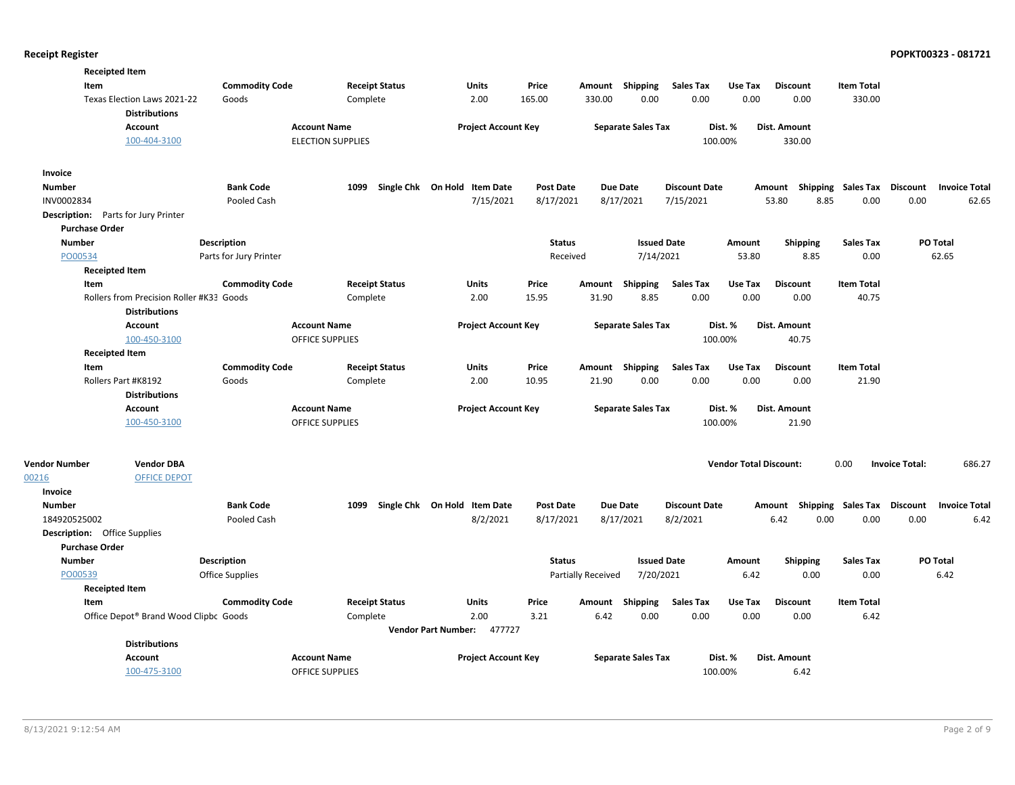|                                            | <b>Receipted Item</b>                               |                        |                                        |                       |                              |                  |                    |                           |                      |                               |                       |                    |                       |                      |
|--------------------------------------------|-----------------------------------------------------|------------------------|----------------------------------------|-----------------------|------------------------------|------------------|--------------------|---------------------------|----------------------|-------------------------------|-----------------------|--------------------|-----------------------|----------------------|
| Item                                       |                                                     | <b>Commodity Code</b>  |                                        | <b>Receipt Status</b> | Units                        | Price            |                    | Amount Shipping           | <b>Sales Tax</b>     | Use Tax                       | <b>Discount</b>       | <b>Item Total</b>  |                       |                      |
|                                            | Texas Election Laws 2021-22<br><b>Distributions</b> | Goods                  | Complete                               |                       | 2.00                         | 165.00           | 330.00             | 0.00                      | 0.00                 | 0.00                          | 0.00                  | 330.00             |                       |                      |
|                                            | Account                                             |                        | <b>Account Name</b>                    |                       | <b>Project Account Key</b>   |                  |                    | <b>Separate Sales Tax</b> |                      | Dist. %                       | Dist. Amount          |                    |                       |                      |
|                                            | 100-404-3100                                        |                        | <b>ELECTION SUPPLIES</b>               |                       |                              |                  |                    |                           | 100.00%              |                               | 330.00                |                    |                       |                      |
| Invoice                                    |                                                     |                        |                                        |                       |                              |                  |                    |                           |                      |                               |                       |                    |                       |                      |
| <b>Number</b>                              |                                                     | <b>Bank Code</b>       | 1099                                   |                       | Single Chk On Hold Item Date | <b>Post Date</b> | <b>Due Date</b>    |                           | <b>Discount Date</b> |                               | Amount                | Shipping Sales Tax | Discount              | <b>Invoice Total</b> |
| INV0002834                                 |                                                     | Pooled Cash            |                                        |                       | 7/15/2021                    | 8/17/2021        |                    | 8/17/2021                 | 7/15/2021            |                               | 53.80<br>8.85         | 0.00               | 0.00                  | 62.65                |
| <b>Description:</b> Parts for Jury Printer |                                                     |                        |                                        |                       |                              |                  |                    |                           |                      |                               |                       |                    |                       |                      |
| <b>Purchase Order</b>                      |                                                     |                        |                                        |                       |                              |                  |                    |                           |                      |                               |                       |                    |                       |                      |
| <b>Number</b>                              |                                                     | Description            |                                        |                       |                              | <b>Status</b>    |                    | <b>Issued Date</b>        |                      | Amount                        | <b>Shipping</b>       | <b>Sales Tax</b>   |                       | PO Total             |
| PO00534                                    |                                                     | Parts for Jury Printer |                                        |                       |                              | Received         |                    | 7/14/2021                 |                      | 53.80                         | 8.85                  | 0.00               |                       | 62.65                |
|                                            | <b>Receipted Item</b>                               |                        |                                        |                       |                              |                  |                    |                           |                      |                               |                       |                    |                       |                      |
| Item                                       |                                                     | <b>Commodity Code</b>  |                                        | <b>Receipt Status</b> | Units                        | Price            | Amount             | Shipping                  | <b>Sales Tax</b>     | Use Tax                       | <b>Discount</b>       | <b>Item Total</b>  |                       |                      |
|                                            | Rollers from Precision Roller #K33 Goods            |                        | Complete                               |                       | 2.00                         | 15.95            | 31.90              | 8.85                      | 0.00                 | 0.00                          | 0.00                  | 40.75              |                       |                      |
|                                            | <b>Distributions</b>                                |                        |                                        |                       |                              |                  |                    |                           |                      |                               |                       |                    |                       |                      |
|                                            | <b>Account</b>                                      |                        | <b>Account Name</b>                    |                       | <b>Project Account Key</b>   |                  |                    | <b>Separate Sales Tax</b> |                      | Dist. %                       | Dist. Amount          |                    |                       |                      |
|                                            | 100-450-3100                                        |                        | <b>OFFICE SUPPLIES</b>                 |                       |                              |                  |                    |                           | 100.00%              |                               | 40.75                 |                    |                       |                      |
|                                            | <b>Receipted Item</b>                               |                        |                                        |                       |                              |                  |                    |                           |                      |                               |                       |                    |                       |                      |
| Item                                       |                                                     | <b>Commodity Code</b>  |                                        | <b>Receipt Status</b> | Units                        | Price            | Amount Shipping    |                           | <b>Sales Tax</b>     | Use Tax                       | <b>Discount</b>       | <b>Item Total</b>  |                       |                      |
|                                            | Rollers Part #K8192<br><b>Distributions</b>         | Goods                  | Complete                               |                       | 2.00                         | 10.95            | 21.90              | 0.00                      | 0.00                 | 0.00                          | 0.00                  | 21.90              |                       |                      |
|                                            | Account<br>100-450-3100                             |                        | <b>Account Name</b><br>OFFICE SUPPLIES |                       | <b>Project Account Key</b>   |                  |                    | <b>Separate Sales Tax</b> | 100.00%              | Dist. %                       | Dist. Amount<br>21.90 |                    |                       |                      |
| <b>Vendor Number</b>                       | <b>Vendor DBA</b>                                   |                        |                                        |                       |                              |                  |                    |                           |                      | <b>Vendor Total Discount:</b> |                       | 0.00               | <b>Invoice Total:</b> | 686.27               |
| 00216                                      | <b>OFFICE DEPOT</b>                                 |                        |                                        |                       |                              |                  |                    |                           |                      |                               |                       |                    |                       |                      |
| Invoice                                    |                                                     |                        |                                        |                       |                              |                  |                    |                           |                      |                               |                       |                    |                       |                      |
| <b>Number</b>                              |                                                     | <b>Bank Code</b>       | 1099                                   |                       | Single Chk On Hold Item Date | <b>Post Date</b> | <b>Due Date</b>    |                           | <b>Discount Date</b> |                               | Amount                | Shipping Sales Tax | Discount              | <b>Invoice Total</b> |
| 184920525002                               |                                                     | Pooled Cash            |                                        |                       | 8/2/2021                     | 8/17/2021        |                    | 8/17/2021                 | 8/2/2021             |                               | 6.42<br>0.00          | 0.00               | 0.00                  | 6.42                 |
| <b>Description:</b> Office Supplies        |                                                     |                        |                                        |                       |                              |                  |                    |                           |                      |                               |                       |                    |                       |                      |
| <b>Purchase Order</b>                      |                                                     |                        |                                        |                       |                              |                  |                    |                           |                      |                               |                       |                    |                       |                      |
| <b>Number</b>                              |                                                     | <b>Description</b>     |                                        |                       |                              | <b>Status</b>    |                    | <b>Issued Date</b>        |                      | Amount                        | <b>Shipping</b>       | <b>Sales Tax</b>   |                       | PO Total             |
| PO00539                                    |                                                     | Office Supplies        |                                        |                       |                              |                  | Partially Received | 7/20/2021                 |                      | 6.42                          | 0.00                  | 0.00               |                       | 6.42                 |
|                                            | <b>Receipted Item</b>                               |                        |                                        |                       |                              |                  |                    |                           |                      |                               |                       |                    |                       |                      |
| Item                                       |                                                     | <b>Commodity Code</b>  |                                        | <b>Receipt Status</b> | Units                        | Price            | Amount Shipping    |                           | <b>Sales Tax</b>     | Use Tax                       | <b>Discount</b>       | <b>Item Total</b>  |                       |                      |
|                                            | Office Depot® Brand Wood Clipbc Goods               |                        | Complete                               |                       | 2.00                         | 3.21             | 6.42               | 0.00                      | 0.00                 | 0.00                          | 0.00                  | 6.42               |                       |                      |
|                                            |                                                     |                        |                                        |                       | Vendor Part Number: 477727   |                  |                    |                           |                      |                               |                       |                    |                       |                      |
|                                            | <b>Distributions</b>                                |                        |                                        |                       |                              |                  |                    |                           |                      |                               |                       |                    |                       |                      |
|                                            | <b>Account</b>                                      |                        | <b>Account Name</b>                    |                       | <b>Project Account Key</b>   |                  |                    | <b>Separate Sales Tax</b> |                      | Dist. %                       | Dist. Amount          |                    |                       |                      |
|                                            | 100-475-3100                                        |                        | <b>OFFICE SUPPLIES</b>                 |                       |                              |                  |                    |                           | 100.00%              |                               | 6.42                  |                    |                       |                      |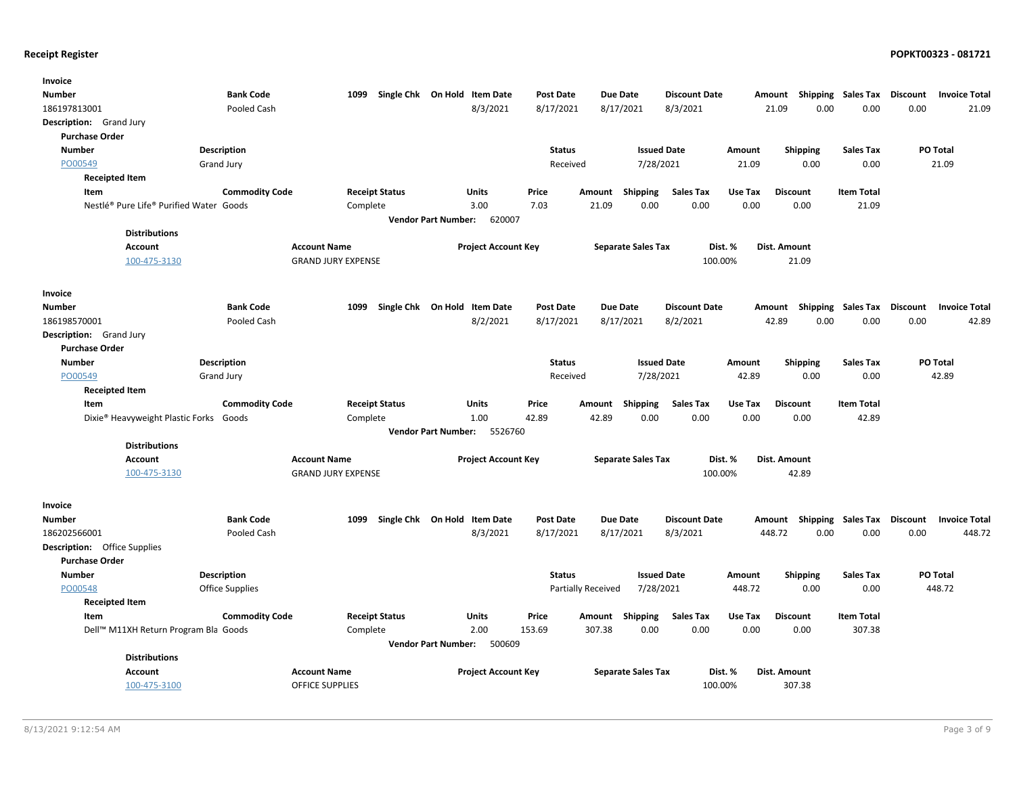| Invoice                                            |                        |                           |                              |                            |                            |                  |                           |                      |                         |                           |                   |                 |                      |
|----------------------------------------------------|------------------------|---------------------------|------------------------------|----------------------------|----------------------------|------------------|---------------------------|----------------------|-------------------------|---------------------------|-------------------|-----------------|----------------------|
| <b>Number</b>                                      | <b>Bank Code</b>       | 1099                      | Single Chk On Hold Item Date |                            |                            | <b>Post Date</b> | <b>Due Date</b>           | <b>Discount Date</b> |                         | Amount Shipping Sales Tax |                   | Discount        | <b>Invoice Total</b> |
| 186197813001                                       | Pooled Cash            |                           |                              |                            | 8/3/2021                   | 8/17/2021        | 8/17/2021                 | 8/3/2021             | 21.09                   | 0.00                      | 0.00              | 0.00            | 21.09                |
| Description: Grand Jury                            |                        |                           |                              |                            |                            |                  |                           |                      |                         |                           |                   |                 |                      |
| <b>Purchase Order</b>                              |                        |                           |                              |                            |                            |                  |                           |                      |                         |                           |                   |                 |                      |
| <b>Number</b>                                      | Description            |                           |                              |                            |                            | <b>Status</b>    |                           | <b>Issued Date</b>   | Amount                  | <b>Shipping</b>           | <b>Sales Tax</b>  | PO Total        |                      |
| PO00549                                            | <b>Grand Jury</b>      |                           |                              |                            |                            | Received         |                           | 7/28/2021            | 21.09                   | 0.00                      | 0.00              |                 | 21.09                |
| <b>Receipted Item</b>                              |                        |                           |                              |                            |                            |                  |                           |                      |                         |                           |                   |                 |                      |
| Item                                               | <b>Commodity Code</b>  | <b>Receipt Status</b>     |                              |                            | Units                      | Price            | <b>Shipping</b><br>Amount | <b>Sales Tax</b>     | Use Tax                 | <b>Discount</b>           | <b>Item Total</b> |                 |                      |
| Nestlé® Pure Life® Purified Water Goods            |                        | Complete                  |                              |                            | 3.00                       | 7.03             | 21.09                     | 0.00<br>0.00         | 0.00                    | 0.00                      | 21.09             |                 |                      |
|                                                    |                        |                           |                              | <b>Vendor Part Number:</b> | 620007                     |                  |                           |                      |                         |                           |                   |                 |                      |
| <b>Distributions</b>                               |                        |                           |                              |                            |                            |                  |                           |                      |                         |                           |                   |                 |                      |
| <b>Account</b>                                     |                        | <b>Account Name</b>       |                              |                            | <b>Project Account Key</b> |                  | <b>Separate Sales Tax</b> |                      | Dist. %<br>Dist. Amount |                           |                   |                 |                      |
| 100-475-3130                                       |                        | <b>GRAND JURY EXPENSE</b> |                              |                            |                            |                  |                           | 100.00%              |                         | 21.09                     |                   |                 |                      |
|                                                    |                        |                           |                              |                            |                            |                  |                           |                      |                         |                           |                   |                 |                      |
| Invoice                                            |                        |                           |                              |                            |                            |                  |                           |                      |                         |                           |                   |                 |                      |
| <b>Number</b>                                      | <b>Bank Code</b>       | 1099                      | Single Chk On Hold Item Date |                            |                            | <b>Post Date</b> | <b>Due Date</b>           | <b>Discount Date</b> | Amount                  | Shipping                  | Sales Tax         | <b>Discount</b> | <b>Invoice Total</b> |
| 186198570001                                       | Pooled Cash            |                           |                              |                            | 8/2/2021                   | 8/17/2021        | 8/17/2021                 | 8/2/2021             | 42.89                   | 0.00                      | 0.00              | 0.00            | 42.89                |
| Description: Grand Jury                            |                        |                           |                              |                            |                            |                  |                           |                      |                         |                           |                   |                 |                      |
| <b>Purchase Order</b>                              |                        |                           |                              |                            |                            |                  |                           |                      |                         |                           |                   |                 |                      |
| <b>Number</b>                                      | Description            |                           |                              |                            |                            | <b>Status</b>    |                           | <b>Issued Date</b>   | Amount                  | <b>Shipping</b>           | <b>Sales Tax</b>  | PO Total        |                      |
| PO00549                                            | Grand Jury             |                           |                              |                            |                            | Received         |                           | 7/28/2021            | 42.89                   | 0.00                      | 0.00              |                 | 42.89                |
| <b>Receipted Item</b>                              |                        |                           |                              |                            |                            |                  |                           |                      |                         |                           |                   |                 |                      |
| Item                                               | <b>Commodity Code</b>  | <b>Receipt Status</b>     |                              |                            | Units                      | Price            | Shipping<br>Amount        | <b>Sales Tax</b>     | Use Tax                 | <b>Discount</b>           | <b>Item Total</b> |                 |                      |
| Dixie <sup>®</sup> Heavyweight Plastic Forks Goods |                        | Complete                  |                              |                            | 1.00                       | 42.89            | 42.89                     | 0.00<br>0.00         | 0.00                    | 0.00                      | 42.89             |                 |                      |
|                                                    |                        |                           |                              | <b>Vendor Part Number:</b> | 5526760                    |                  |                           |                      |                         |                           |                   |                 |                      |
| <b>Distributions</b>                               |                        |                           |                              |                            |                            |                  |                           |                      |                         |                           |                   |                 |                      |
| <b>Account</b>                                     |                        | <b>Account Name</b>       |                              |                            | <b>Project Account Key</b> |                  | <b>Separate Sales Tax</b> | Dist. %              | Dist. Amount            |                           |                   |                 |                      |
| 100-475-3130                                       |                        | <b>GRAND JURY EXPENSE</b> |                              |                            |                            |                  |                           | 100.00%              |                         | 42.89                     |                   |                 |                      |
|                                                    |                        |                           |                              |                            |                            |                  |                           |                      |                         |                           |                   |                 |                      |
| Invoice                                            |                        |                           |                              |                            |                            |                  |                           |                      |                         |                           |                   |                 |                      |
| <b>Number</b>                                      | <b>Bank Code</b>       | 1099                      | Single Chk On Hold Item Date |                            |                            | <b>Post Date</b> | Due Date                  | <b>Discount Date</b> |                         | Amount Shipping Sales Tax |                   | <b>Discount</b> | <b>Invoice Total</b> |
| 186202566001                                       | Pooled Cash            |                           |                              |                            | 8/3/2021                   | 8/17/2021        | 8/17/2021                 | 8/3/2021             | 448.72                  | 0.00                      | 0.00              | 0.00            | 448.72               |
| <b>Description:</b> Office Supplies                |                        |                           |                              |                            |                            |                  |                           |                      |                         |                           |                   |                 |                      |
| <b>Purchase Order</b>                              |                        |                           |                              |                            |                            |                  |                           |                      |                         |                           |                   |                 |                      |
| <b>Number</b>                                      | Description            |                           |                              |                            |                            | <b>Status</b>    |                           | <b>Issued Date</b>   | Amount                  | <b>Shipping</b>           | <b>Sales Tax</b>  | PO Total        |                      |
| PO00548                                            | <b>Office Supplies</b> |                           |                              |                            |                            |                  | Partially Received        | 7/28/2021            | 448.72                  | 0.00                      | 0.00              |                 | 448.72               |
| <b>Receipted Item</b>                              |                        |                           |                              |                            |                            |                  |                           |                      |                         |                           |                   |                 |                      |
| Item                                               | <b>Commodity Code</b>  | <b>Receipt Status</b>     |                              |                            | <b>Units</b>               | Price            | Shipping<br>Amount        | <b>Sales Tax</b>     | Use Tax                 | <b>Discount</b>           | <b>Item Total</b> |                 |                      |
| Dell™ M11XH Return Program Bla Goods               |                        | Complete                  |                              |                            | 2.00                       | 153.69           | 307.38                    | 0.00<br>0.00         | 0.00                    | 0.00                      | 307.38            |                 |                      |
|                                                    |                        |                           |                              | <b>Vendor Part Number:</b> | 500609                     |                  |                           |                      |                         |                           |                   |                 |                      |
| <b>Distributions</b>                               |                        |                           |                              |                            |                            |                  |                           |                      |                         |                           |                   |                 |                      |
| <b>Account</b>                                     |                        | <b>Account Name</b>       |                              |                            | <b>Project Account Key</b> |                  | <b>Separate Sales Tax</b> | Dist. %              | Dist. Amount            |                           |                   |                 |                      |
| 100-475-3100                                       |                        | <b>OFFICE SUPPLIES</b>    |                              |                            |                            |                  |                           | 100.00%              |                         | 307.38                    |                   |                 |                      |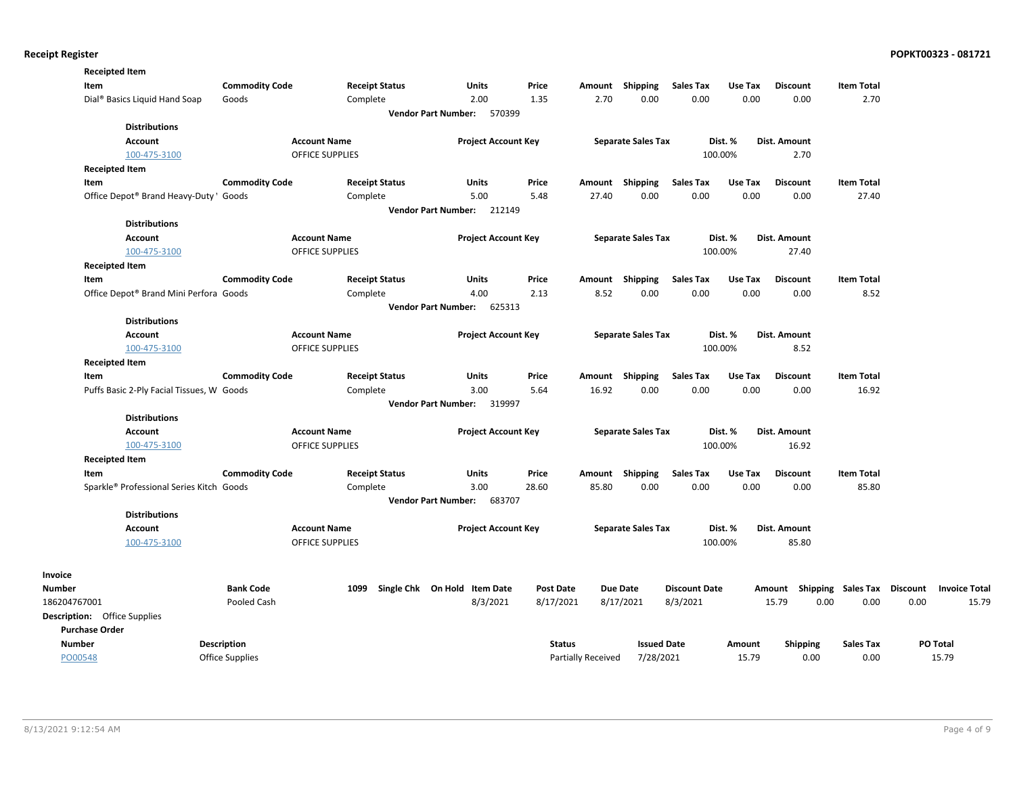| <b>Receipted Item</b>                     |                       |                        |                                      |                  |                           |                           |                      |         |                     |                    |          |                      |
|-------------------------------------------|-----------------------|------------------------|--------------------------------------|------------------|---------------------------|---------------------------|----------------------|---------|---------------------|--------------------|----------|----------------------|
| Item                                      | <b>Commodity Code</b> | <b>Receipt Status</b>  | Units                                | Price            | Amount                    | Shipping                  | <b>Sales Tax</b>     | Use Tax | <b>Discount</b>     | <b>Item Total</b>  |          |                      |
| Dial <sup>®</sup> Basics Liquid Hand Soap | Goods                 | Complete               | 2.00                                 | 1.35             | 2.70                      | 0.00                      | 0.00                 | 0.00    | 0.00                | 2.70               |          |                      |
|                                           |                       |                        | <b>Vendor Part Number:</b><br>570399 |                  |                           |                           |                      |         |                     |                    |          |                      |
| <b>Distributions</b>                      |                       |                        |                                      |                  |                           |                           |                      |         |                     |                    |          |                      |
| <b>Account</b>                            |                       | <b>Account Name</b>    | <b>Project Account Key</b>           |                  |                           | <b>Separate Sales Tax</b> |                      | Dist. % | Dist. Amount        |                    |          |                      |
| 100-475-3100                              |                       | <b>OFFICE SUPPLIES</b> |                                      |                  |                           |                           |                      | 100.00% | 2.70                |                    |          |                      |
| <b>Receipted Item</b>                     |                       |                        |                                      |                  |                           |                           |                      |         |                     |                    |          |                      |
| Item                                      | <b>Commodity Code</b> | <b>Receipt Status</b>  | Units                                | Price            | Amount Shipping           |                           | <b>Sales Tax</b>     | Use Tax | <b>Discount</b>     | <b>Item Total</b>  |          |                      |
| Office Depot® Brand Heavy-Duty 'Goods     |                       | Complete               | 5.00                                 | 5.48             | 27.40                     | 0.00                      | 0.00                 | 0.00    | 0.00                | 27.40              |          |                      |
|                                           |                       |                        | <b>Vendor Part Number:</b><br>212149 |                  |                           |                           |                      |         |                     |                    |          |                      |
| <b>Distributions</b>                      |                       |                        |                                      |                  |                           |                           |                      |         |                     |                    |          |                      |
| Account                                   |                       | <b>Account Name</b>    | <b>Project Account Key</b>           |                  |                           | <b>Separate Sales Tax</b> |                      | Dist. % | Dist. Amount        |                    |          |                      |
| 100-475-3100                              |                       | <b>OFFICE SUPPLIES</b> |                                      |                  |                           |                           |                      | 100.00% | 27.40               |                    |          |                      |
| <b>Receipted Item</b>                     |                       |                        |                                      |                  |                           |                           |                      |         |                     |                    |          |                      |
| Item                                      | <b>Commodity Code</b> | <b>Receipt Status</b>  | <b>Units</b>                         | Price            | Amount                    | Shipping                  | <b>Sales Tax</b>     | Use Tax | <b>Discount</b>     | <b>Item Total</b>  |          |                      |
| Office Depot® Brand Mini Perfora Goods    |                       | Complete               | 4.00                                 | 2.13             | 8.52                      | 0.00                      | 0.00                 | 0.00    | 0.00                | 8.52               |          |                      |
| <b>Distributions</b>                      |                       |                        | 625313<br><b>Vendor Part Number:</b> |                  |                           |                           |                      |         |                     |                    |          |                      |
| <b>Account</b>                            |                       | <b>Account Name</b>    | <b>Project Account Key</b>           |                  |                           |                           |                      | Dist. % | <b>Dist. Amount</b> |                    |          |                      |
| 100-475-3100                              |                       | <b>OFFICE SUPPLIES</b> |                                      |                  |                           | <b>Separate Sales Tax</b> |                      | 100.00% | 8.52                |                    |          |                      |
| <b>Receipted Item</b>                     |                       |                        |                                      |                  |                           |                           |                      |         |                     |                    |          |                      |
| Item                                      | <b>Commodity Code</b> | <b>Receipt Status</b>  | <b>Units</b>                         | Price            | Amount                    | Shipping                  | <b>Sales Tax</b>     | Use Tax | <b>Discount</b>     | <b>Item Total</b>  |          |                      |
| Puffs Basic 2-Ply Facial Tissues, W Goods |                       | Complete               | 3.00                                 | 5.64             | 16.92                     | 0.00                      | 0.00                 | 0.00    | 0.00                | 16.92              |          |                      |
|                                           |                       |                        | Vendor Part Number: 319997           |                  |                           |                           |                      |         |                     |                    |          |                      |
| <b>Distributions</b>                      |                       |                        |                                      |                  |                           |                           |                      |         |                     |                    |          |                      |
| <b>Account</b>                            |                       | <b>Account Name</b>    | <b>Project Account Key</b>           |                  |                           | <b>Separate Sales Tax</b> |                      | Dist. % | Dist. Amount        |                    |          |                      |
| 100-475-3100                              |                       | <b>OFFICE SUPPLIES</b> |                                      |                  |                           |                           |                      | 100.00% | 16.92               |                    |          |                      |
| <b>Receipted Item</b>                     |                       |                        |                                      |                  |                           |                           |                      |         |                     |                    |          |                      |
| Item                                      | <b>Commodity Code</b> | <b>Receipt Status</b>  | Units                                | Price            | Amount Shipping           |                           | <b>Sales Tax</b>     | Use Tax | <b>Discount</b>     | <b>Item Total</b>  |          |                      |
| Sparkle® Professional Series Kitch Goods  |                       | Complete               | 3.00                                 | 28.60            | 85.80                     | 0.00                      | 0.00                 | 0.00    | 0.00                | 85.80              |          |                      |
|                                           |                       |                        | Vendor Part Number: 683707           |                  |                           |                           |                      |         |                     |                    |          |                      |
| <b>Distributions</b>                      |                       |                        |                                      |                  |                           |                           |                      |         |                     |                    |          |                      |
| <b>Account</b>                            |                       | <b>Account Name</b>    | <b>Project Account Key</b>           |                  |                           | <b>Separate Sales Tax</b> |                      | Dist. % | Dist. Amount        |                    |          |                      |
| 100-475-3100                              |                       | <b>OFFICE SUPPLIES</b> |                                      |                  |                           |                           |                      | 100.00% | 85.80               |                    |          |                      |
|                                           |                       |                        |                                      |                  |                           |                           |                      |         |                     |                    |          |                      |
| <b>Invoice</b><br><b>Number</b>           | <b>Bank Code</b>      | 1099                   | Single Chk On Hold Item Date         | <b>Post Date</b> | <b>Due Date</b>           |                           | <b>Discount Date</b> |         | Amount              | Shipping Sales Tax | Discount | <b>Invoice Total</b> |
| 186204767001                              | Pooled Cash           |                        | 8/3/2021                             | 8/17/2021        | 8/17/2021                 |                           | 8/3/2021             |         | 15.79<br>0.00       | 0.00               | 0.00     | 15.79                |
| <b>Description:</b> Office Supplies       |                       |                        |                                      |                  |                           |                           |                      |         |                     |                    |          |                      |
| <b>Purchase Order</b>                     |                       |                        |                                      |                  |                           |                           |                      |         |                     |                    |          |                      |
| Number                                    | <b>Description</b>    |                        |                                      | <b>Status</b>    |                           | <b>Issued Date</b>        |                      | Amount  | <b>Shipping</b>     | <b>Sales Tax</b>   |          | PO Total             |
| PO00548                                   | Office Supplies       |                        |                                      |                  | <b>Partially Received</b> | 7/28/2021                 |                      | 15.79   | 0.00                | 0.00               |          | 15.79                |
|                                           |                       |                        |                                      |                  |                           |                           |                      |         |                     |                    |          |                      |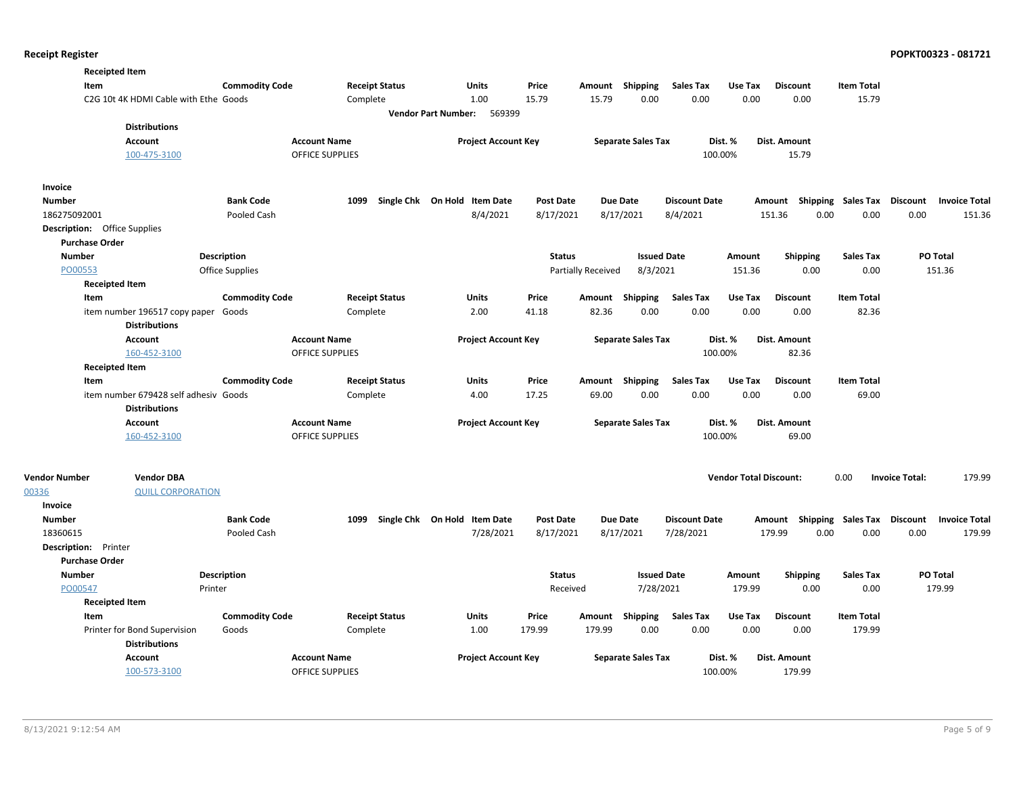| <b>Receipted Item</b>               |                                       |                        |                        |                                      |                  |                    |                           |                      |                               |                                    |                    |                       |                      |
|-------------------------------------|---------------------------------------|------------------------|------------------------|--------------------------------------|------------------|--------------------|---------------------------|----------------------|-------------------------------|------------------------------------|--------------------|-----------------------|----------------------|
| Item                                |                                       | <b>Commodity Code</b>  | <b>Receipt Status</b>  | Units                                | Price            | Amount             | Shipping                  | <b>Sales Tax</b>     | Use Tax                       | <b>Discount</b>                    | <b>Item Total</b>  |                       |                      |
|                                     | C2G 10t 4K HDMI Cable with Ethe Goods |                        | Complete               | 1.00                                 | 15.79            | 15.79              | 0.00                      | 0.00                 | 0.00                          | 0.00                               | 15.79              |                       |                      |
|                                     |                                       |                        |                        | 569399<br><b>Vendor Part Number:</b> |                  |                    |                           |                      |                               |                                    |                    |                       |                      |
|                                     | <b>Distributions</b>                  |                        |                        |                                      |                  |                    |                           |                      |                               |                                    |                    |                       |                      |
| Account                             |                                       |                        | <b>Account Name</b>    | <b>Project Account Key</b>           |                  |                    | <b>Separate Sales Tax</b> | Dist. %              |                               | Dist. Amount                       |                    |                       |                      |
|                                     | 100-475-3100                          |                        | <b>OFFICE SUPPLIES</b> |                                      |                  |                    |                           | 100.00%              |                               | 15.79                              |                    |                       |                      |
| Invoice                             |                                       |                        |                        |                                      |                  |                    |                           |                      |                               |                                    |                    |                       |                      |
| <b>Number</b>                       |                                       | <b>Bank Code</b>       | 1099                   | Single Chk On Hold Item Date         | <b>Post Date</b> | Due Date           |                           | <b>Discount Date</b> |                               | Amount                             | Shipping Sales Tax | <b>Discount</b>       | <b>Invoice Total</b> |
| 186275092001                        |                                       | Pooled Cash            |                        | 8/4/2021                             | 8/17/2021        |                    | 8/17/2021                 | 8/4/2021             |                               | 0.00<br>151.36                     | 0.00               | 0.00                  | 151.36               |
| <b>Description:</b> Office Supplies |                                       |                        |                        |                                      |                  |                    |                           |                      |                               |                                    |                    |                       |                      |
| <b>Purchase Order</b>               |                                       |                        |                        |                                      |                  |                    |                           |                      |                               |                                    |                    |                       |                      |
| <b>Number</b>                       |                                       | <b>Description</b>     |                        |                                      | <b>Status</b>    |                    | <b>Issued Date</b>        |                      | Amount                        | <b>Shipping</b>                    | <b>Sales Tax</b>   |                       | PO Total             |
| PO00553                             |                                       | <b>Office Supplies</b> |                        |                                      |                  | Partially Received | 8/3/2021                  |                      | 151.36                        | 0.00                               | 0.00               |                       | 151.36               |
| <b>Receipted Item</b>               |                                       |                        |                        |                                      |                  |                    |                           |                      |                               |                                    |                    |                       |                      |
| Item                                |                                       | <b>Commodity Code</b>  | <b>Receipt Status</b>  | Units                                | Price            | Amount             | Shipping                  | <b>Sales Tax</b>     | Use Tax                       | <b>Discount</b>                    | <b>Item Total</b>  |                       |                      |
|                                     | item number 196517 copy paper Goods   |                        | Complete               | 2.00                                 | 41.18            | 82.36              | 0.00                      | 0.00                 | 0.00                          | 0.00                               | 82.36              |                       |                      |
|                                     | <b>Distributions</b>                  |                        |                        |                                      |                  |                    |                           |                      |                               |                                    |                    |                       |                      |
| <b>Account</b>                      |                                       |                        | <b>Account Name</b>    | <b>Project Account Key</b>           |                  |                    | <b>Separate Sales Tax</b> | Dist. %              |                               | Dist. Amount                       |                    |                       |                      |
|                                     | 160-452-3100                          |                        | OFFICE SUPPLIES        |                                      |                  |                    |                           | 100.00%              |                               | 82.36                              |                    |                       |                      |
| <b>Receipted Item</b>               |                                       |                        |                        |                                      |                  |                    |                           |                      |                               |                                    |                    |                       |                      |
| Item                                |                                       | <b>Commodity Code</b>  | <b>Receipt Status</b>  | <b>Units</b>                         | Price            | Amount             | Shipping                  | <b>Sales Tax</b>     | Use Tax                       | <b>Discount</b>                    | <b>Item Total</b>  |                       |                      |
|                                     | item number 679428 self adhesiv Goods |                        | Complete               | 4.00                                 | 17.25            | 69.00              | 0.00                      | 0.00                 | 0.00                          | 0.00                               | 69.00              |                       |                      |
|                                     | <b>Distributions</b>                  |                        |                        |                                      |                  |                    |                           |                      |                               |                                    |                    |                       |                      |
| <b>Account</b>                      |                                       |                        | <b>Account Name</b>    | <b>Project Account Key</b>           |                  |                    | <b>Separate Sales Tax</b> | Dist. %              |                               | Dist. Amount                       |                    |                       |                      |
|                                     | 160-452-3100                          |                        | OFFICE SUPPLIES        |                                      |                  |                    |                           | 100.00%              |                               | 69.00                              |                    |                       |                      |
|                                     |                                       |                        |                        |                                      |                  |                    |                           |                      |                               |                                    |                    |                       |                      |
| <b>Vendor Number</b>                | <b>Vendor DBA</b>                     |                        |                        |                                      |                  |                    |                           |                      | <b>Vendor Total Discount:</b> |                                    | 0.00               | <b>Invoice Total:</b> | 179.99               |
| 00336                               | <b>QUILL CORPORATION</b>              |                        |                        |                                      |                  |                    |                           |                      |                               |                                    |                    |                       |                      |
| <b>Invoice</b>                      |                                       |                        |                        |                                      |                  |                    |                           |                      |                               |                                    |                    |                       |                      |
| <b>Number</b>                       |                                       | <b>Bank Code</b>       | 1099                   | Single Chk On Hold Item Date         | <b>Post Date</b> |                    | Due Date                  | <b>Discount Date</b> |                               | Amount Shipping Sales Tax Discount |                    |                       | <b>Invoice Total</b> |
| 18360615                            |                                       | Pooled Cash            |                        | 7/28/2021                            | 8/17/2021        |                    | 8/17/2021                 | 7/28/2021            |                               | 179.99<br>0.00                     | 0.00               | 0.00                  | 179.99               |
| Description: Printer                |                                       |                        |                        |                                      |                  |                    |                           |                      |                               |                                    |                    |                       |                      |
| <b>Purchase Order</b>               |                                       |                        |                        |                                      |                  |                    |                           |                      |                               |                                    |                    |                       |                      |
| <b>Number</b>                       |                                       | Description            |                        |                                      | <b>Status</b>    |                    | <b>Issued Date</b>        |                      | Amount                        | <b>Shipping</b>                    | <b>Sales Tax</b>   |                       | PO Total             |
| PO00547                             | Printer                               |                        |                        |                                      | Received         |                    | 7/28/2021                 |                      | 179.99                        | 0.00                               | 0.00               |                       | 179.99               |
| <b>Receipted Item</b>               |                                       |                        |                        |                                      |                  |                    |                           |                      |                               |                                    |                    |                       |                      |
| Item                                |                                       | <b>Commodity Code</b>  | <b>Receipt Status</b>  | Units                                | Price            | Amount             | Shipping                  | <b>Sales Tax</b>     | Use Tax                       | <b>Discount</b>                    | <b>Item Total</b>  |                       |                      |
| Printer for Bond Supervision        | <b>Distributions</b>                  | Goods                  | Complete               | 1.00                                 | 179.99           | 179.99             | 0.00                      | 0.00                 | 0.00                          | 0.00                               | 179.99             |                       |                      |
| <b>Account</b>                      |                                       |                        | <b>Account Name</b>    | <b>Project Account Key</b>           |                  |                    | <b>Separate Sales Tax</b> | Dist. %              |                               | Dist. Amount                       |                    |                       |                      |
|                                     | 100-573-3100                          |                        | <b>OFFICE SUPPLIES</b> |                                      |                  |                    |                           | 100.00%              |                               | 179.99                             |                    |                       |                      |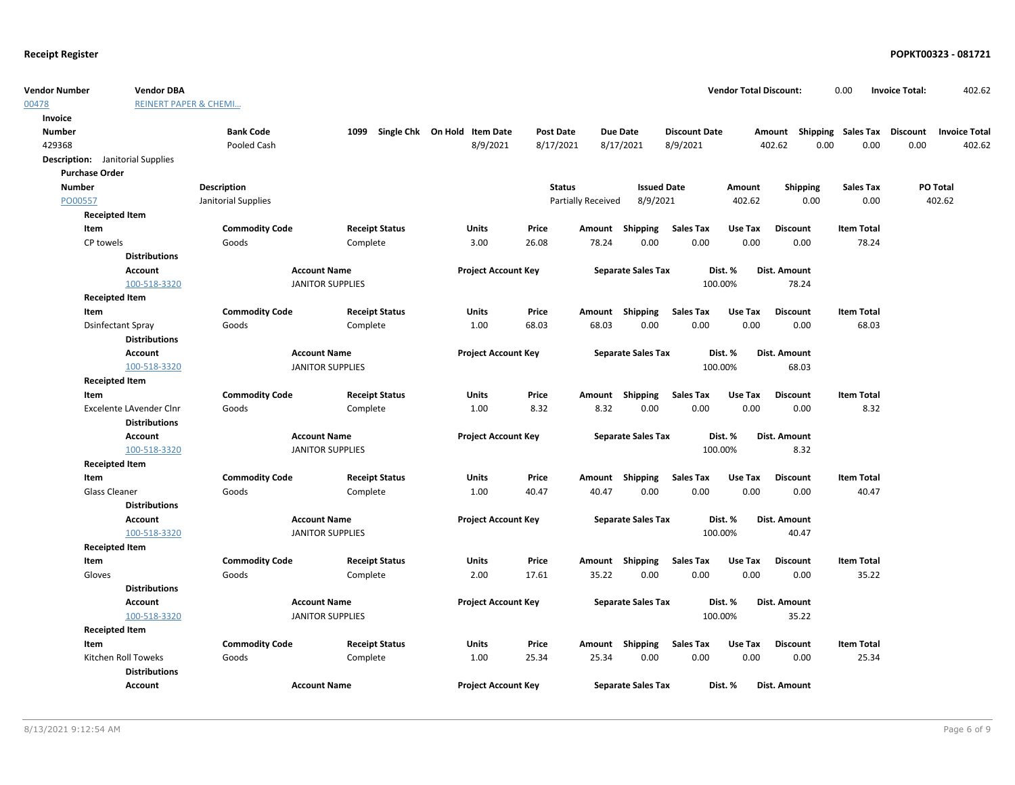| <b>Vendor Number</b>  | <b>Vendor DBA</b>                       |                       |                         |                              |                  |                    |                           |                      | <b>Vendor Total Discount:</b> |                                    | 0.00              | <b>Invoice Total:</b> | 402.62               |
|-----------------------|-----------------------------------------|-----------------------|-------------------------|------------------------------|------------------|--------------------|---------------------------|----------------------|-------------------------------|------------------------------------|-------------------|-----------------------|----------------------|
| 00478                 | <b>REINERT PAPER &amp; CHEMI</b>        |                       |                         |                              |                  |                    |                           |                      |                               |                                    |                   |                       |                      |
| Invoice               |                                         |                       |                         |                              |                  |                    |                           |                      |                               |                                    |                   |                       |                      |
| <b>Number</b>         |                                         | <b>Bank Code</b>      | 1099                    | Single Chk On Hold Item Date | <b>Post Date</b> |                    | <b>Due Date</b>           | <b>Discount Date</b> |                               | Amount Shipping Sales Tax Discount |                   |                       | <b>Invoice Total</b> |
| 429368                |                                         | Pooled Cash           |                         | 8/9/2021                     | 8/17/2021        |                    | 8/17/2021                 | 8/9/2021             |                               | 402.62                             | 0.00<br>0.00      | 0.00                  | 402.62               |
|                       | <b>Description:</b> Janitorial Supplies |                       |                         |                              |                  |                    |                           |                      |                               |                                    |                   |                       |                      |
| <b>Purchase Order</b> |                                         |                       |                         |                              |                  |                    |                           |                      |                               |                                    |                   |                       |                      |
| <b>Number</b>         |                                         | Description           |                         |                              | <b>Status</b>    |                    | <b>Issued Date</b>        |                      | Amount                        | <b>Shipping</b>                    | <b>Sales Tax</b>  |                       | PO Total             |
| PO00557               |                                         | Janitorial Supplies   |                         |                              |                  | Partially Received | 8/9/2021                  |                      | 402.62                        | 0.00                               | 0.00              |                       | 402.62               |
|                       | <b>Receipted Item</b>                   |                       |                         |                              |                  |                    |                           |                      |                               |                                    |                   |                       |                      |
| Item                  |                                         | <b>Commodity Code</b> | <b>Receipt Status</b>   | Units                        | Price            | Amount             | Shipping                  | <b>Sales Tax</b>     | Use Tax                       | <b>Discount</b>                    | <b>Item Total</b> |                       |                      |
| CP towels             |                                         | Goods                 | Complete                | 3.00                         | 26.08            | 78.24              | 0.00                      | 0.00                 | 0.00                          | 0.00                               | 78.24             |                       |                      |
|                       | <b>Distributions</b>                    |                       |                         |                              |                  |                    |                           |                      |                               |                                    |                   |                       |                      |
|                       | Account                                 |                       | <b>Account Name</b>     | <b>Project Account Key</b>   |                  |                    | <b>Separate Sales Tax</b> |                      | Dist. %                       | Dist. Amount                       |                   |                       |                      |
|                       | 100-518-3320                            |                       | <b>JANITOR SUPPLIES</b> |                              |                  |                    |                           |                      | 100.00%                       | 78.24                              |                   |                       |                      |
|                       | <b>Receipted Item</b>                   |                       |                         |                              |                  |                    |                           |                      |                               |                                    |                   |                       |                      |
| Item                  |                                         | <b>Commodity Code</b> | <b>Receipt Status</b>   | <b>Units</b>                 | Price            |                    | Amount Shipping           | <b>Sales Tax</b>     | Use Tax                       | <b>Discount</b>                    | <b>Item Total</b> |                       |                      |
|                       | <b>Dsinfectant Spray</b>                | Goods                 | Complete                | 1.00                         | 68.03            | 68.03              | 0.00                      | 0.00                 | 0.00                          | 0.00                               | 68.03             |                       |                      |
|                       | <b>Distributions</b>                    |                       |                         |                              |                  |                    |                           |                      |                               |                                    |                   |                       |                      |
|                       | Account                                 |                       | <b>Account Name</b>     | <b>Project Account Key</b>   |                  |                    | <b>Separate Sales Tax</b> |                      | Dist. %                       | Dist. Amount                       |                   |                       |                      |
|                       | 100-518-3320                            |                       | <b>JANITOR SUPPLIES</b> |                              |                  |                    |                           |                      | 100.00%                       | 68.03                              |                   |                       |                      |
|                       | <b>Receipted Item</b>                   |                       |                         |                              |                  |                    |                           |                      |                               |                                    |                   |                       |                      |
| Item                  |                                         | <b>Commodity Code</b> | <b>Receipt Status</b>   | Units                        | Price            |                    | Amount Shipping           | <b>Sales Tax</b>     | Use Tax                       | <b>Discount</b>                    | <b>Item Total</b> |                       |                      |
|                       | Excelente LAvender Clnr                 | Goods                 | Complete                | 1.00                         | 8.32             | 8.32               | 0.00                      | 0.00                 | 0.00                          | 0.00                               | 8.32              |                       |                      |
|                       | <b>Distributions</b>                    |                       |                         |                              |                  |                    |                           |                      |                               |                                    |                   |                       |                      |
|                       | <b>Account</b>                          |                       | <b>Account Name</b>     | <b>Project Account Key</b>   |                  |                    | <b>Separate Sales Tax</b> |                      | Dist. %                       | <b>Dist. Amount</b>                |                   |                       |                      |
|                       | 100-518-3320                            |                       | <b>JANITOR SUPPLIES</b> |                              |                  |                    |                           |                      | 100.00%                       | 8.32                               |                   |                       |                      |
|                       | <b>Receipted Item</b>                   |                       |                         |                              |                  |                    |                           |                      |                               |                                    |                   |                       |                      |
| Item                  |                                         | <b>Commodity Code</b> | <b>Receipt Status</b>   | Units                        | Price            |                    | Amount Shipping           | <b>Sales Tax</b>     | Use Tax                       | <b>Discount</b>                    | <b>Item Total</b> |                       |                      |
|                       | Glass Cleaner                           | Goods                 | Complete                | 1.00                         | 40.47            | 40.47              | 0.00                      | 0.00                 | 0.00                          | 0.00                               | 40.47             |                       |                      |
|                       | <b>Distributions</b>                    |                       |                         |                              |                  |                    |                           |                      |                               |                                    |                   |                       |                      |
|                       | Account                                 |                       | <b>Account Name</b>     | <b>Project Account Key</b>   |                  |                    | <b>Separate Sales Tax</b> |                      | Dist. %                       | Dist. Amount                       |                   |                       |                      |
|                       | 100-518-3320                            |                       | <b>JANITOR SUPPLIES</b> |                              |                  |                    |                           |                      | 100.00%                       | 40.47                              |                   |                       |                      |
|                       | <b>Receipted Item</b>                   |                       |                         |                              |                  |                    |                           |                      |                               |                                    |                   |                       |                      |
| Item                  |                                         | <b>Commodity Code</b> | <b>Receipt Status</b>   | Units                        | Price            |                    | Amount Shipping           | <b>Sales Tax</b>     | Use Tax                       | <b>Discount</b>                    | <b>Item Total</b> |                       |                      |
| Gloves                |                                         | Goods                 | Complete                | 2.00                         | 17.61            | 35.22              | 0.00                      | 0.00                 | 0.00                          | 0.00                               | 35.22             |                       |                      |
|                       | <b>Distributions</b>                    |                       |                         |                              |                  |                    |                           |                      |                               |                                    |                   |                       |                      |
|                       | Account                                 |                       | <b>Account Name</b>     | <b>Project Account Key</b>   |                  |                    | <b>Separate Sales Tax</b> |                      | Dist. %                       | Dist. Amount                       |                   |                       |                      |
|                       | 100-518-3320                            |                       | <b>JANITOR SUPPLIES</b> |                              |                  |                    |                           |                      | 100.00%                       | 35.22                              |                   |                       |                      |
|                       | <b>Receipted Item</b>                   |                       |                         |                              |                  |                    |                           |                      |                               |                                    |                   |                       |                      |
| Item                  |                                         | <b>Commodity Code</b> | <b>Receipt Status</b>   | Units                        | Price            |                    | Amount Shipping           | <b>Sales Tax</b>     | Use Tax                       | <b>Discount</b>                    | <b>Item Total</b> |                       |                      |
|                       | Kitchen Roll Toweks                     | Goods                 | Complete                | 1.00                         | 25.34            | 25.34              | 0.00                      | 0.00                 | 0.00                          | 0.00                               | 25.34             |                       |                      |
|                       | <b>Distributions</b>                    |                       |                         |                              |                  |                    |                           |                      |                               |                                    |                   |                       |                      |
|                       | Account                                 |                       | <b>Account Name</b>     | <b>Project Account Key</b>   |                  |                    | <b>Separate Sales Tax</b> |                      | Dist. %                       | Dist. Amount                       |                   |                       |                      |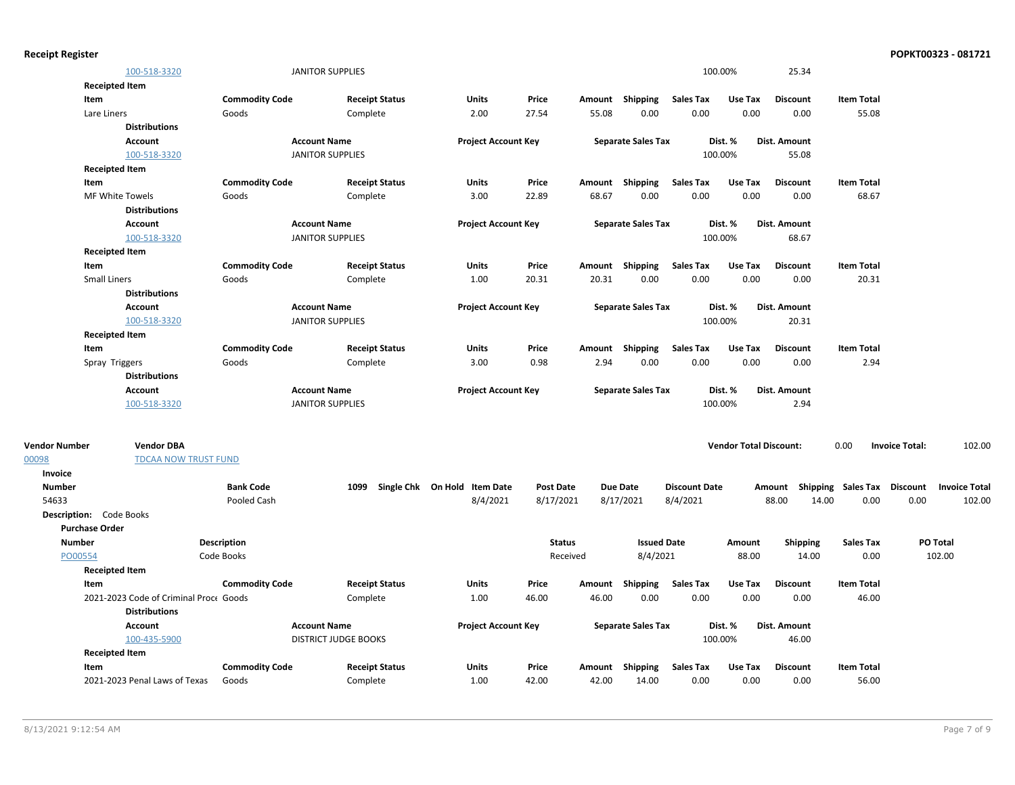| <b>Receipt Register</b> |                                                                |                                  |                             |                              |                  |               |                                |                          |                               |                   |                                    | POPKT00323 - 081721             |
|-------------------------|----------------------------------------------------------------|----------------------------------|-----------------------------|------------------------------|------------------|---------------|--------------------------------|--------------------------|-------------------------------|-------------------|------------------------------------|---------------------------------|
|                         | 100-518-3320                                                   |                                  | <b>JANITOR SUPPLIES</b>     |                              |                  |               |                                |                          | 100.00%                       | 25.34             |                                    |                                 |
|                         | <b>Receipted Item</b>                                          |                                  |                             |                              |                  |               |                                |                          |                               |                   |                                    |                                 |
|                         | Item                                                           | <b>Commodity Code</b>            | <b>Receipt Status</b>       | Units                        | Price            |               | Amount Shipping                | <b>Sales Tax</b>         | Use Tax                       | <b>Discount</b>   | <b>Item Total</b>                  |                                 |
|                         | Lare Liners                                                    | Goods                            | Complete                    | 2.00                         | 27.54            | 55.08         | 0.00                           | 0.00                     | 0.00                          | 0.00              | 55.08                              |                                 |
|                         | <b>Distributions</b>                                           |                                  |                             |                              |                  |               |                                |                          |                               |                   |                                    |                                 |
|                         | Account                                                        |                                  | <b>Account Name</b>         | <b>Project Account Key</b>   |                  |               | <b>Separate Sales Tax</b>      |                          | Dist. %                       | Dist. Amount      |                                    |                                 |
|                         | 100-518-3320                                                   |                                  | <b>JANITOR SUPPLIES</b>     |                              |                  |               |                                |                          | 100.00%                       | 55.08             |                                    |                                 |
|                         | <b>Receipted Item</b>                                          |                                  |                             |                              |                  |               |                                |                          |                               |                   |                                    |                                 |
|                         | Item                                                           | <b>Commodity Code</b>            | <b>Receipt Status</b>       | Units                        | Price            |               | Amount Shipping                | <b>Sales Tax</b>         | Use Tax                       | <b>Discount</b>   | <b>Item Total</b>                  |                                 |
|                         | MF White Towels                                                | Goods                            | Complete                    | 3.00                         | 22.89            | 68.67         | 0.00                           | 0.00                     | 0.00                          | 0.00              | 68.67                              |                                 |
|                         | <b>Distributions</b>                                           |                                  |                             |                              |                  |               |                                |                          |                               |                   |                                    |                                 |
|                         | Account                                                        |                                  | <b>Account Name</b>         | <b>Project Account Key</b>   |                  |               | <b>Separate Sales Tax</b>      |                          | Dist. %                       | Dist. Amount      |                                    |                                 |
|                         | 100-518-3320                                                   |                                  | <b>JANITOR SUPPLIES</b>     |                              |                  |               |                                |                          | 100.00%                       | 68.67             |                                    |                                 |
|                         | <b>Receipted Item</b>                                          |                                  |                             |                              |                  |               |                                |                          |                               |                   |                                    |                                 |
|                         | Item                                                           | <b>Commodity Code</b>            | <b>Receipt Status</b>       | Units                        | Price            |               | Amount Shipping                | <b>Sales Tax</b>         | Use Tax                       | <b>Discount</b>   | <b>Item Total</b>                  |                                 |
|                         | <b>Small Liners</b>                                            | Goods                            | Complete                    | 1.00                         | 20.31            | 20.31         | 0.00                           | 0.00                     | 0.00                          | 0.00              | 20.31                              |                                 |
|                         | <b>Distributions</b>                                           |                                  |                             |                              |                  |               |                                |                          |                               |                   |                                    |                                 |
|                         | Account                                                        |                                  | <b>Account Name</b>         | <b>Project Account Key</b>   |                  |               | <b>Separate Sales Tax</b>      |                          | Dist. %                       | Dist. Amount      |                                    |                                 |
|                         | 100-518-3320                                                   |                                  | <b>JANITOR SUPPLIES</b>     |                              |                  |               |                                |                          | 100.00%                       | 20.31             |                                    |                                 |
|                         | <b>Receipted Item</b>                                          |                                  |                             |                              |                  |               |                                |                          |                               |                   |                                    |                                 |
|                         | Item                                                           | <b>Commodity Code</b>            | <b>Receipt Status</b>       | <b>Units</b>                 | Price            |               | Amount Shipping                | <b>Sales Tax</b>         | Use Tax                       | <b>Discount</b>   | <b>Item Total</b>                  |                                 |
|                         | Spray Triggers                                                 | Goods                            | Complete                    | 3.00                         | 0.98             | 2.94          | 0.00                           | 0.00                     | 0.00                          | 0.00              | 2.94                               |                                 |
|                         | <b>Distributions</b>                                           |                                  |                             |                              |                  |               |                                |                          |                               |                   |                                    |                                 |
|                         | Account                                                        |                                  | <b>Account Name</b>         | <b>Project Account Key</b>   |                  |               | <b>Separate Sales Tax</b>      |                          | Dist. %                       | Dist. Amount      |                                    |                                 |
|                         | 100-518-3320                                                   |                                  | <b>JANITOR SUPPLIES</b>     |                              |                  |               |                                |                          | 100.00%                       | 2.94              |                                    |                                 |
|                         |                                                                |                                  |                             |                              |                  |               |                                |                          |                               |                   |                                    |                                 |
| <b>Vendor Number</b>    | <b>Vendor DBA</b>                                              |                                  |                             |                              |                  |               |                                |                          | <b>Vendor Total Discount:</b> |                   | 0.00                               | 102.00<br><b>Invoice Total:</b> |
| 00098                   | <b>TDCAA NOW TRUST FUND</b>                                    |                                  |                             |                              |                  |               |                                |                          |                               |                   |                                    |                                 |
| Invoice                 |                                                                |                                  |                             |                              |                  |               |                                |                          |                               |                   |                                    |                                 |
| <b>Number</b>           |                                                                | <b>Bank Code</b>                 | 1099                        | Single Chk On Hold Item Date | <b>Post Date</b> |               | <b>Due Date</b>                | <b>Discount Date</b>     |                               |                   | Amount Shipping Sales Tax Discount | <b>Invoice Total</b>            |
| 54633                   |                                                                | Pooled Cash                      |                             | 8/4/2021                     | 8/17/2021        |               | 8/17/2021                      | 8/4/2021                 |                               | 88.00<br>14.00    | 0.00                               | 0.00<br>102.00                  |
|                         | <b>Description:</b> Code Books                                 |                                  |                             |                              |                  |               |                                |                          |                               |                   |                                    |                                 |
|                         | <b>Purchase Order</b>                                          |                                  |                             |                              |                  |               |                                |                          |                               |                   |                                    |                                 |
| <b>Number</b>           |                                                                | <b>Description</b><br>Code Books |                             |                              |                  | <b>Status</b> | <b>Issued Date</b><br>8/4/2021 |                          | Amount<br>88.00               | Shipping<br>14.00 | <b>Sales Tax</b><br>0.00           | PO Total<br>102.00              |
| PO00554                 |                                                                |                                  |                             |                              |                  | Received      |                                |                          |                               |                   |                                    |                                 |
|                         | <b>Receipted Item</b>                                          |                                  |                             |                              |                  |               |                                |                          |                               |                   |                                    |                                 |
|                         | Item                                                           | <b>Commodity Code</b>            | <b>Receipt Status</b>       | Units                        | Price            | 46.00         | Amount Shipping                | <b>Sales Tax</b><br>0.00 | Use Tax<br>0.00               | <b>Discount</b>   | <b>Item Total</b>                  |                                 |
|                         | 2021-2023 Code of Criminal Proce Goods<br><b>Distributions</b> |                                  | Complete                    | 1.00                         | 46.00            |               | 0.00                           |                          |                               | 0.00              | 46.00                              |                                 |
|                         | <b>Account</b>                                                 |                                  | <b>Account Name</b>         |                              |                  |               |                                |                          | Dist. %                       | Dist. Amount      |                                    |                                 |
|                         | 100-435-5900                                                   |                                  |                             | <b>Project Account Key</b>   |                  |               | <b>Separate Sales Tax</b>      |                          | 100.00%                       |                   |                                    |                                 |
|                         | <b>Receipted Item</b>                                          |                                  | <b>DISTRICT JUDGE BOOKS</b> |                              |                  |               |                                |                          |                               | 46.00             |                                    |                                 |
|                         | Item                                                           | <b>Commodity Code</b>            | <b>Receipt Status</b>       | Units                        | Price            |               | Amount Shipping                | <b>Sales Tax</b>         | Use Tax                       | <b>Discount</b>   | <b>Item Total</b>                  |                                 |
|                         | 2021-2023 Penal Laws of Texas                                  | Goods                            | Complete                    | 1.00                         | 42.00            | 42.00         | 14.00                          | 0.00                     | 0.00                          | 0.00              | 56.00                              |                                 |
|                         |                                                                |                                  |                             |                              |                  |               |                                |                          |                               |                   |                                    |                                 |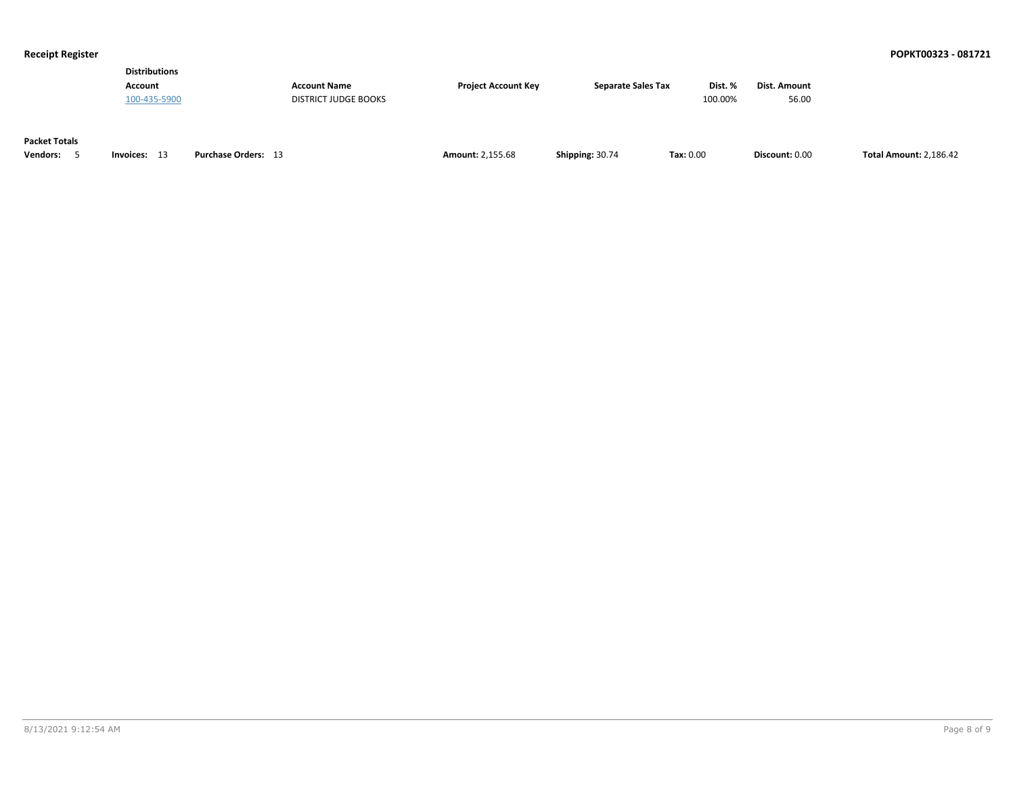| <b>Distributions</b> |                      |                            |                           |         |              |
|----------------------|----------------------|----------------------------|---------------------------|---------|--------------|
| Account              | <b>Account Name</b>  | <b>Project Account Kev</b> | <b>Separate Sales Tax</b> | Dist. % | Dist. Amount |
| 100-435-5900         | DISTRICT JUDGE BOOKS |                            |                           | 100.00% | 56.00        |
|                      |                      |                            |                           |         |              |

### **Packet Totals**

| Invoices:<br>endors:<br>Purchase Orders:<br>ॱ | <b>Amount: 2.155.68</b> |  | $\textsf{Tax}: 0.00$ | ـ Discount: 0.0 | .186.42<br>「∩t∍l ∧m |
|-----------------------------------------------|-------------------------|--|----------------------|-----------------|---------------------|
|-----------------------------------------------|-------------------------|--|----------------------|-----------------|---------------------|